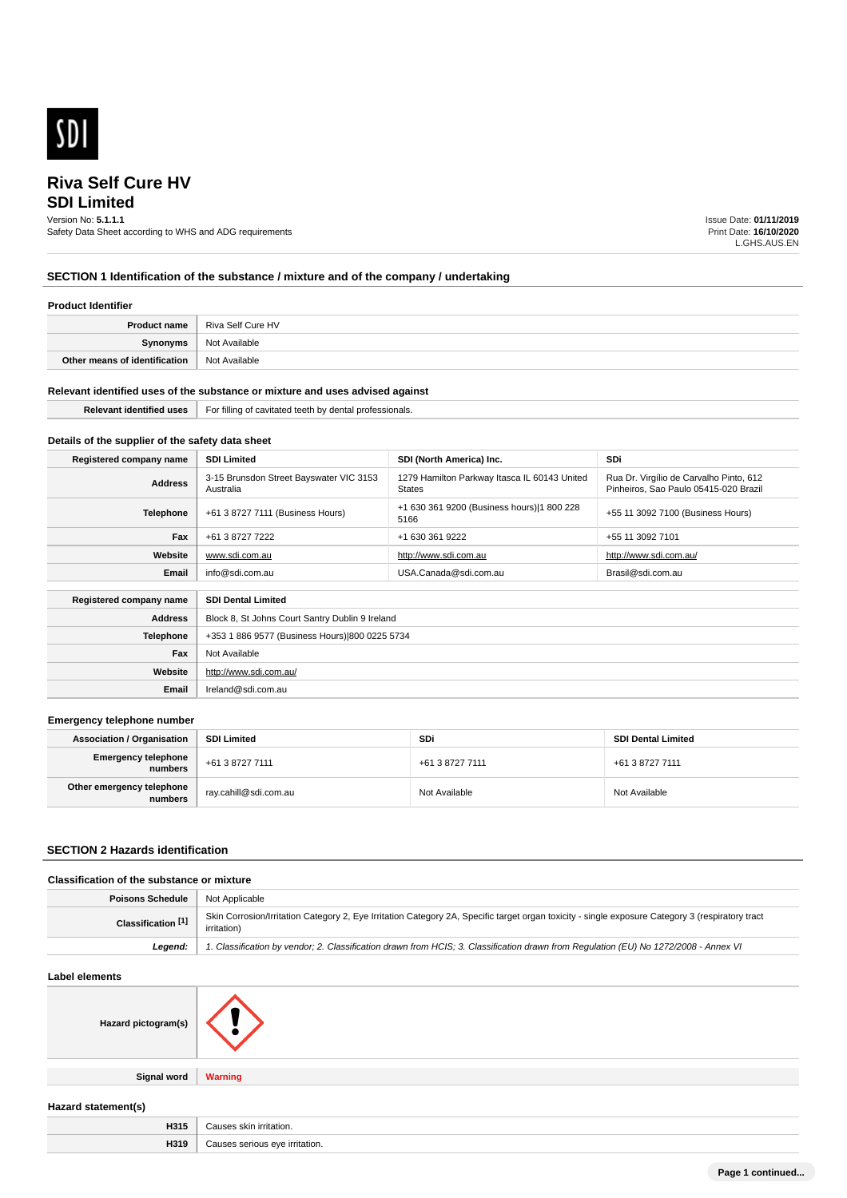

# **SDI Limited**

Version No: **5.1.1.1**

Safety Data Sheet according to WHS and ADG requirements

Issue Date: **01/11/2019** Print Date: **16/10/2020** L.GHS.AUS.EN

### **SECTION 1 Identification of the substance / mixture and of the company / undertaking**

### **Product Identifier**

| <b>Product name</b>           | <sup>'</sup> Riva Self Cure HV |
|-------------------------------|--------------------------------|
| Synonyms                      | Not Available                  |
| Other means of identification | Not Available                  |

### **Relevant identified uses of the substance or mixture and uses advised against**

| $\sim$<br>protessi<br>onais.<br>: 11 di<br>1.7.7.11<br>.<br>$\mathbf{v}$<br>. |
|-------------------------------------------------------------------------------|
|                                                                               |

### **Details of the supplier of the safety data sheet**

**Website**

**Email** Ireland@sdi.com.au

http://www.sdi.com.au/

| Registered company name                              | <b>SDI Limited</b>                                   | SDI (North America) Inc.                                      | <b>SDi</b>                                                                       |
|------------------------------------------------------|------------------------------------------------------|---------------------------------------------------------------|----------------------------------------------------------------------------------|
| <b>Address</b>                                       | 3-15 Brunsdon Street Bayswater VIC 3153<br>Australia | 1279 Hamilton Parkway Itasca IL 60143 United<br><b>States</b> | Rua Dr. Virgílio de Carvalho Pinto, 612<br>Pinheiros. Sao Paulo 05415-020 Brazil |
| Telephone                                            | +61 3 8727 7111 (Business Hours)                     | +1 630 361 9200 (Business hours) 1 800 228<br>5166            | +55 11 3092 7100 (Business Hours)                                                |
| Fax                                                  | +61 3 8727 7222                                      | +1 630 361 9222                                               | +55 11 3092 7101                                                                 |
| Website                                              | www.sdi.com.au                                       | http://www.sdi.com.au                                         | http://www.sdi.com.au/                                                           |
| Email                                                | info@sdi.com.au                                      | USA.Canada@sdi.com.au                                         | Brasil@sdi.com.au                                                                |
| <b>SDI Dental Limited</b><br>Registered company name |                                                      |                                                               |                                                                                  |
| <b>Address</b>                                       | Block 8, St Johns Court Santry Dublin 9 Ireland      |                                                               |                                                                                  |
| <b>Telephone</b>                                     | +353 1 886 9577 (Business Hours) 800 0225 5734       |                                                               |                                                                                  |
| Fax                                                  | Not Available                                        |                                                               |                                                                                  |

#### **Emergency telephone number**

| <b>Association / Organisation</b>     | <b>SDI Limited</b>    | SDi             | <b>SDI Dental Limited</b> |
|---------------------------------------|-----------------------|-----------------|---------------------------|
| <b>Emergency telephone</b><br>numbers | +61 3 8727 7111       | +61 3 8727 7111 | +61 3 8727 7111           |
| Other emergency telephone<br>numbers  | ray.cahill@sdi.com.au | Not Available   | Not Available             |

### **SECTION 2 Hazards identification**

### **Classification of the substance or mixture**

| <b>Poisons Schedule</b>   Not Applicable |                                                                                                                                                                 |
|------------------------------------------|-----------------------------------------------------------------------------------------------------------------------------------------------------------------|
| Classification <sup>[1]</sup>            | Skin Corrosion/Irritation Category 2, Eye Irritation Category 2A, Specific target organ toxicity - single exposure Category 3 (respiratory tract<br>irritation) |
| Leaend:                                  | 1. Classification by vendor; 2. Classification drawn from HCIS; 3. Classification drawn from Regulation (EU) No 1272/2008 - Annex VI                            |

### **Label elements**

| Hazard pictogram(s) |                |
|---------------------|----------------|
| <b>Signal word</b>  | <b>Warning</b> |

### **Hazard statement(s)**

| <b>HO4</b><br>пэтэ | шаг<br>.   |
|--------------------|------------|
|                    | "ritation. |
| 1044               |            |
| H319               | .          |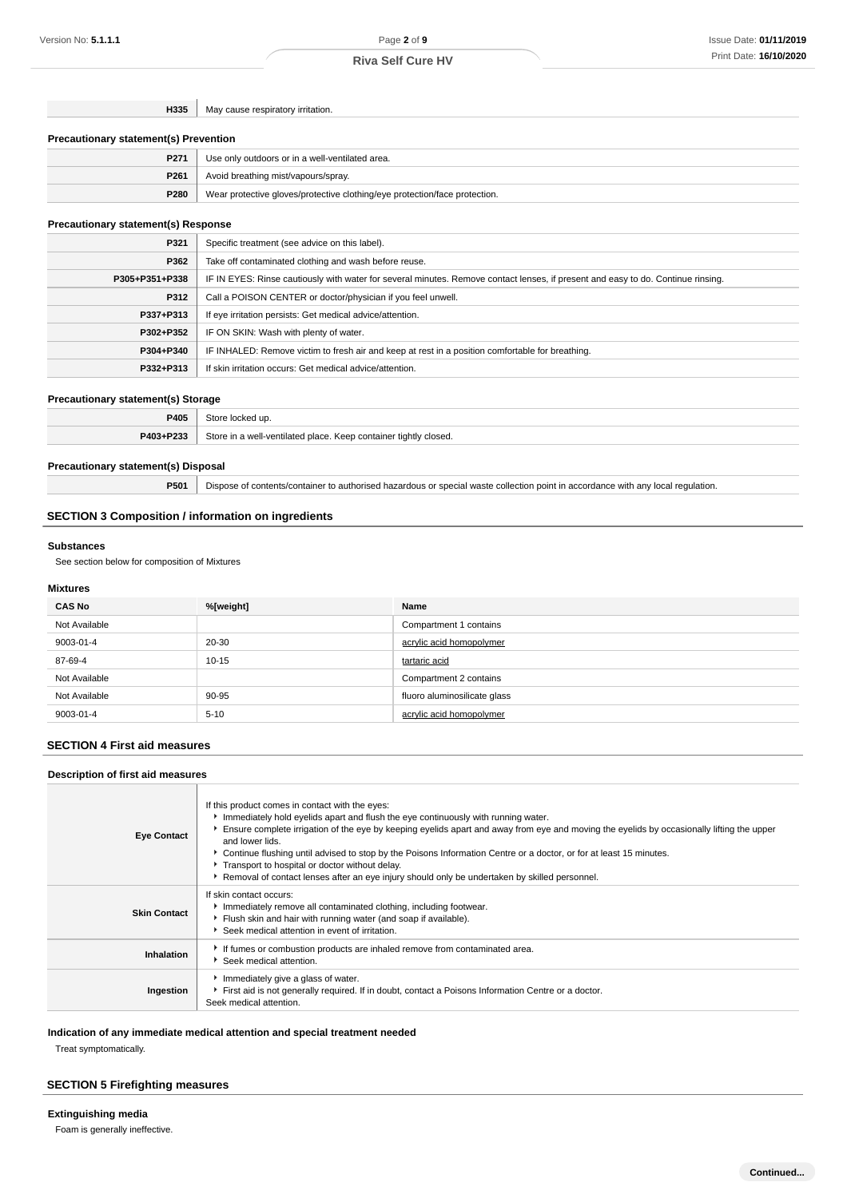**H335** May cause respiratory irritation.

#### **Precautionary statement(s) Prevention**

| P271 | Use only outdoors or in a well-ventilated area.                            |
|------|----------------------------------------------------------------------------|
| P261 | Avoid breathing mist/vapours/spray.                                        |
| P280 | Wear protective gloves/protective clothing/eye protection/face protection. |

### **Precautionary statement(s) Response**

| P321           | Specific treatment (see advice on this label).                                                                                   |
|----------------|----------------------------------------------------------------------------------------------------------------------------------|
| P362           | Take off contaminated clothing and wash before reuse.                                                                            |
| P305+P351+P338 | IF IN EYES: Rinse cautiously with water for several minutes. Remove contact lenses, if present and easy to do. Continue rinsing. |
| P312           | Call a POISON CENTER or doctor/physician if you feel unwell.                                                                     |
| P337+P313      | If eye irritation persists: Get medical advice/attention.                                                                        |
| P302+P352      | IF ON SKIN: Wash with plenty of water.                                                                                           |
| P304+P340      | IF INHALED: Remove victim to fresh air and keep at rest in a position comfortable for breathing.                                 |
| P332+P313      | If skin irritation occurs: Get medical advice/attention.                                                                         |

#### **Precautionary statement(s) Storage**

| יחום             |                                                                                        |
|------------------|----------------------------------------------------------------------------------------|
| <b>DA02.D222</b> | Theorem<br>container tightly closed.<br>500 <sub>n</sub><br>Lucil hatcliteau Liau<br>. |

### **Precautionary statement(s) Disposal**

**P501** Dispose of contents/container to authorised hazardous or special waste collection point in accordance with any local regulation.

### **SECTION 3 Composition / information on ingredients**

#### **Substances**

See section below for composition of Mixtures

### **Mixtures**

| <b>CAS No</b> | %[weight] | Name                         |
|---------------|-----------|------------------------------|
| Not Available |           | Compartment 1 contains       |
| 9003-01-4     | 20-30     | acrylic acid homopolymer     |
| 87-69-4       | $10 - 15$ | tartaric acid                |
| Not Available |           | Compartment 2 contains       |
| Not Available | 90-95     | fluoro aluminosilicate glass |
| 9003-01-4     | $5 - 10$  | acrylic acid homopolymer     |

### **SECTION 4 First aid measures**

### **Description of first aid measures**

| <b>Eye Contact</b>  | If this product comes in contact with the eyes:<br>Immediately hold eyelids apart and flush the eye continuously with running water.<br>Ensure complete irrigation of the eye by keeping eyelids apart and away from eye and moving the eyelids by occasionally lifting the upper<br>and lower lids.<br>► Continue flushing until advised to stop by the Poisons Information Centre or a doctor, or for at least 15 minutes.<br>Transport to hospital or doctor without delay.<br>▶ Removal of contact lenses after an eye injury should only be undertaken by skilled personnel. |
|---------------------|-----------------------------------------------------------------------------------------------------------------------------------------------------------------------------------------------------------------------------------------------------------------------------------------------------------------------------------------------------------------------------------------------------------------------------------------------------------------------------------------------------------------------------------------------------------------------------------|
| <b>Skin Contact</b> | If skin contact occurs:<br>Immediately remove all contaminated clothing, including footwear.<br>Flush skin and hair with running water (and soap if available).<br>Seek medical attention in event of irritation.                                                                                                                                                                                                                                                                                                                                                                 |
| Inhalation          | If fumes or combustion products are inhaled remove from contaminated area.<br>▶ Seek medical attention.                                                                                                                                                                                                                                                                                                                                                                                                                                                                           |
| Ingestion           | Immediately give a glass of water.<br>First aid is not generally required. If in doubt, contact a Poisons Information Centre or a doctor.<br>Seek medical attention.                                                                                                                                                                                                                                                                                                                                                                                                              |

**Indication of any immediate medical attention and special treatment needed**

Treat symptomatically.

### **SECTION 5 Firefighting measures**

**Extinguishing media** Foam is generally ineffective.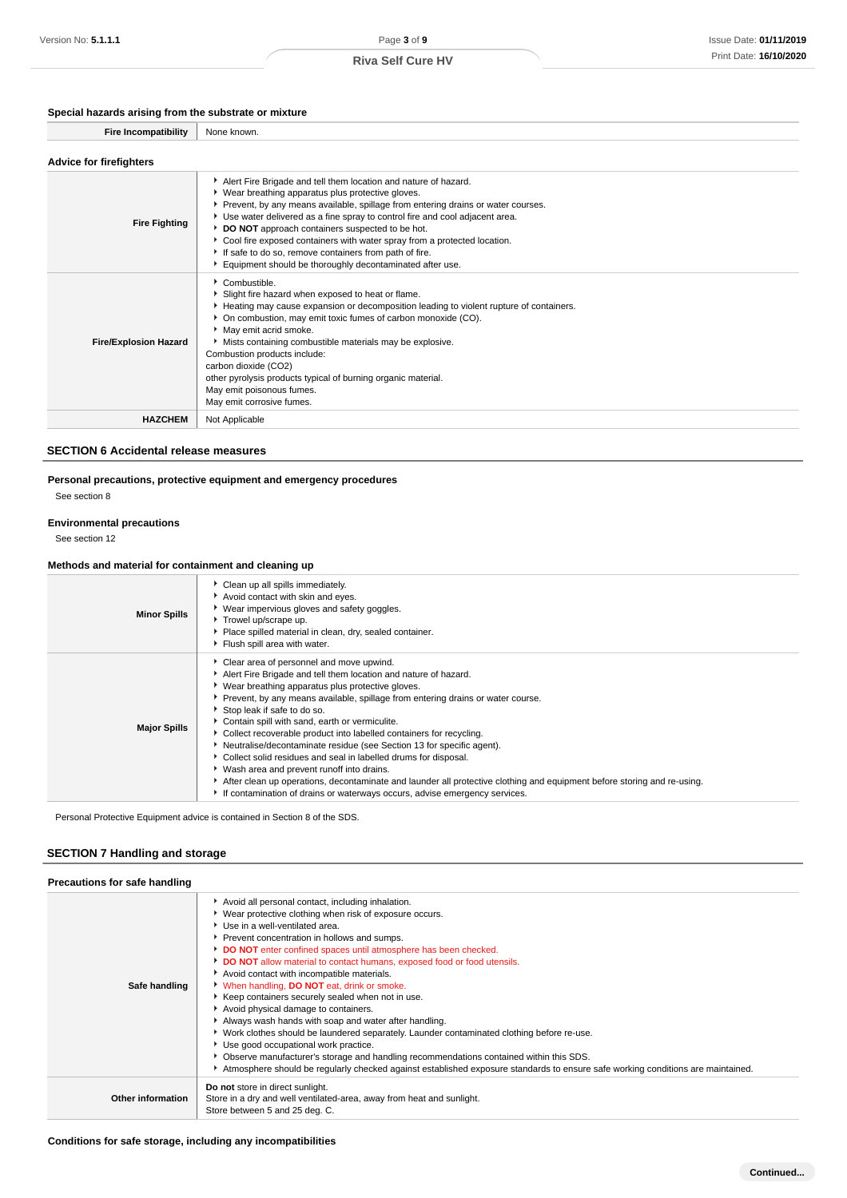### **Special hazards arising from the substrate or mixture**

| <b>Fire Incompatibility</b>    | None known.                                                                                                                                                                                                                                                                                                                                                                                                                                                                                                                                     |
|--------------------------------|-------------------------------------------------------------------------------------------------------------------------------------------------------------------------------------------------------------------------------------------------------------------------------------------------------------------------------------------------------------------------------------------------------------------------------------------------------------------------------------------------------------------------------------------------|
| <b>Advice for firefighters</b> |                                                                                                                                                                                                                                                                                                                                                                                                                                                                                                                                                 |
| <b>Fire Fighting</b>           | Alert Fire Brigade and tell them location and nature of hazard.<br>• Wear breathing apparatus plus protective gloves.<br>▶ Prevent, by any means available, spillage from entering drains or water courses.<br>Use water delivered as a fine spray to control fire and cool adjacent area.<br>DO NOT approach containers suspected to be hot.<br>Cool fire exposed containers with water spray from a protected location.<br>If safe to do so, remove containers from path of fire.<br>Equipment should be thoroughly decontaminated after use. |
| <b>Fire/Explosion Hazard</b>   | Combustible.<br>Slight fire hazard when exposed to heat or flame.<br>Heating may cause expansion or decomposition leading to violent rupture of containers.<br>• On combustion, may emit toxic fumes of carbon monoxide (CO).<br>May emit acrid smoke.<br>Mists containing combustible materials may be explosive.<br>Combustion products include:<br>carbon dioxide (CO2)<br>other pyrolysis products typical of burning organic material.<br>May emit poisonous fumes.<br>May emit corrosive fumes.                                           |
| <b>HAZCHEM</b>                 | Not Applicable                                                                                                                                                                                                                                                                                                                                                                                                                                                                                                                                  |

### **SECTION 6 Accidental release measures**

### **Personal precautions, protective equipment and emergency procedures** See section 8

### **Environmental precautions**

See section 12

### **Methods and material for containment and cleaning up**

| <b>Minor Spills</b> | • Clean up all spills immediately.<br>Avoid contact with skin and eyes.<br>▶ Wear impervious gloves and safety goggles.<br>Trowel up/scrape up.<br>Place spilled material in clean, dry, sealed container.<br>Flush spill area with water.                                                                                                                                                                                                                                                                                                                                                                                                                                                                                                                                                                       |
|---------------------|------------------------------------------------------------------------------------------------------------------------------------------------------------------------------------------------------------------------------------------------------------------------------------------------------------------------------------------------------------------------------------------------------------------------------------------------------------------------------------------------------------------------------------------------------------------------------------------------------------------------------------------------------------------------------------------------------------------------------------------------------------------------------------------------------------------|
| <b>Major Spills</b> | Clear area of personnel and move upwind.<br>Alert Fire Brigade and tell them location and nature of hazard.<br>▶ Wear breathing apparatus plus protective gloves.<br>Prevent, by any means available, spillage from entering drains or water course.<br>Stop leak if safe to do so.<br>Contain spill with sand, earth or vermiculite.<br>Collect recoverable product into labelled containers for recycling.<br>Neutralise/decontaminate residue (see Section 13 for specific agent).<br>Collect solid residues and seal in labelled drums for disposal.<br>• Wash area and prevent runoff into drains.<br>After clean up operations, decontaminate and launder all protective clothing and equipment before storing and re-using.<br>If contamination of drains or waterways occurs, advise emergency services. |

Personal Protective Equipment advice is contained in Section 8 of the SDS.

### **SECTION 7 Handling and storage**

| Precautions for safe handling |                                                                                                                                                                                                                                                                                                                                                                                                                                                                                                                                                                                                                                                                                                                                                                                                                                                                                                                                                                     |
|-------------------------------|---------------------------------------------------------------------------------------------------------------------------------------------------------------------------------------------------------------------------------------------------------------------------------------------------------------------------------------------------------------------------------------------------------------------------------------------------------------------------------------------------------------------------------------------------------------------------------------------------------------------------------------------------------------------------------------------------------------------------------------------------------------------------------------------------------------------------------------------------------------------------------------------------------------------------------------------------------------------|
| Safe handling                 | Avoid all personal contact, including inhalation.<br>▶ Wear protective clothing when risk of exposure occurs.<br>Use in a well-ventilated area.<br>Prevent concentration in hollows and sumps.<br>DO NOT enter confined spaces until atmosphere has been checked.<br>DO NOT allow material to contact humans, exposed food or food utensils.<br>Avoid contact with incompatible materials.<br>When handling, DO NOT eat, drink or smoke.<br>Keep containers securely sealed when not in use.<br>Avoid physical damage to containers.<br>Always wash hands with soap and water after handling.<br>▶ Work clothes should be laundered separately. Launder contaminated clothing before re-use.<br>Use good occupational work practice.<br>▶ Observe manufacturer's storage and handling recommendations contained within this SDS.<br>Atmosphere should be regularly checked against established exposure standards to ensure safe working conditions are maintained. |
| Other information             | Do not store in direct sunlight.<br>Store in a dry and well ventilated-area, away from heat and sunlight.<br>Store between 5 and 25 deg. C.                                                                                                                                                                                                                                                                                                                                                                                                                                                                                                                                                                                                                                                                                                                                                                                                                         |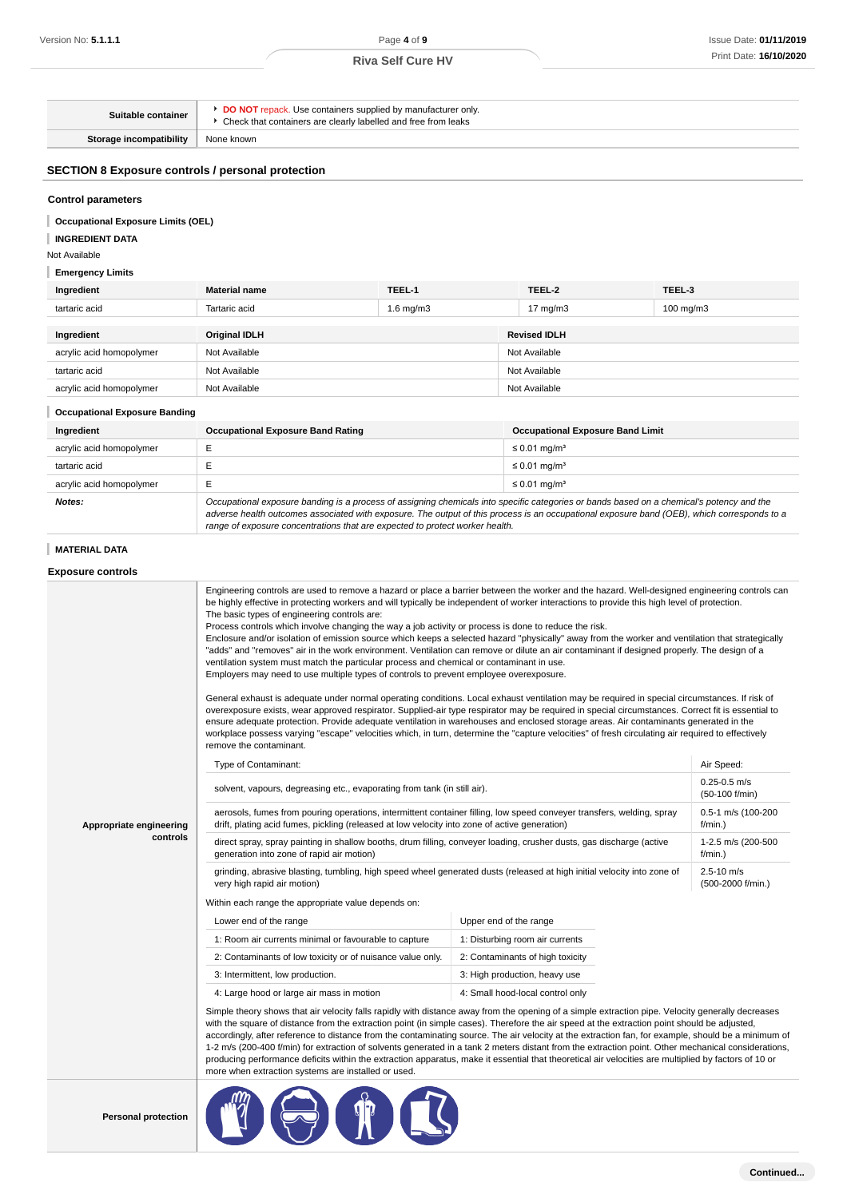**Continued...**

| Suitable container                                                                                                                           |                                                                                                                                                                                                                                                                                                                                                                                                                                                                                                                                                                                                                                                                                                                                                                                                                                                                                                                                                                                                                                                                                                                                                                                                                                                                                                                                                                                                                                                                                                                                                                               | DO NOT repack. Use containers supplied by manufacturer only.<br>• Check that containers are clearly labelled and free from leaks |                        |                                                                                                                                                        |                                      |  |
|----------------------------------------------------------------------------------------------------------------------------------------------|-------------------------------------------------------------------------------------------------------------------------------------------------------------------------------------------------------------------------------------------------------------------------------------------------------------------------------------------------------------------------------------------------------------------------------------------------------------------------------------------------------------------------------------------------------------------------------------------------------------------------------------------------------------------------------------------------------------------------------------------------------------------------------------------------------------------------------------------------------------------------------------------------------------------------------------------------------------------------------------------------------------------------------------------------------------------------------------------------------------------------------------------------------------------------------------------------------------------------------------------------------------------------------------------------------------------------------------------------------------------------------------------------------------------------------------------------------------------------------------------------------------------------------------------------------------------------------|----------------------------------------------------------------------------------------------------------------------------------|------------------------|--------------------------------------------------------------------------------------------------------------------------------------------------------|--------------------------------------|--|
| <b>Storage incompatibility</b>                                                                                                               | None known                                                                                                                                                                                                                                                                                                                                                                                                                                                                                                                                                                                                                                                                                                                                                                                                                                                                                                                                                                                                                                                                                                                                                                                                                                                                                                                                                                                                                                                                                                                                                                    |                                                                                                                                  |                        |                                                                                                                                                        |                                      |  |
| <b>SECTION 8 Exposure controls / personal protection</b>                                                                                     |                                                                                                                                                                                                                                                                                                                                                                                                                                                                                                                                                                                                                                                                                                                                                                                                                                                                                                                                                                                                                                                                                                                                                                                                                                                                                                                                                                                                                                                                                                                                                                               |                                                                                                                                  |                        |                                                                                                                                                        |                                      |  |
| <b>Control parameters</b><br><b>Occupational Exposure Limits (OEL)</b><br><b>INGREDIENT DATA</b><br>Not Available<br><b>Emergency Limits</b> |                                                                                                                                                                                                                                                                                                                                                                                                                                                                                                                                                                                                                                                                                                                                                                                                                                                                                                                                                                                                                                                                                                                                                                                                                                                                                                                                                                                                                                                                                                                                                                               |                                                                                                                                  |                        |                                                                                                                                                        |                                      |  |
| Ingredient                                                                                                                                   | <b>Material name</b>                                                                                                                                                                                                                                                                                                                                                                                                                                                                                                                                                                                                                                                                                                                                                                                                                                                                                                                                                                                                                                                                                                                                                                                                                                                                                                                                                                                                                                                                                                                                                          | TEEL-1                                                                                                                           |                        | TEEL-2                                                                                                                                                 | TEEL-3                               |  |
| tartaric acid                                                                                                                                | Tartaric acid                                                                                                                                                                                                                                                                                                                                                                                                                                                                                                                                                                                                                                                                                                                                                                                                                                                                                                                                                                                                                                                                                                                                                                                                                                                                                                                                                                                                                                                                                                                                                                 | $1.6$ mg/m $3$                                                                                                                   |                        | 17 $mg/m3$                                                                                                                                             | 100 mg/m3                            |  |
| Ingredient                                                                                                                                   | <b>Original IDLH</b>                                                                                                                                                                                                                                                                                                                                                                                                                                                                                                                                                                                                                                                                                                                                                                                                                                                                                                                                                                                                                                                                                                                                                                                                                                                                                                                                                                                                                                                                                                                                                          |                                                                                                                                  |                        | <b>Revised IDLH</b>                                                                                                                                    |                                      |  |
| acrylic acid homopolymer                                                                                                                     | Not Available<br>Not Available                                                                                                                                                                                                                                                                                                                                                                                                                                                                                                                                                                                                                                                                                                                                                                                                                                                                                                                                                                                                                                                                                                                                                                                                                                                                                                                                                                                                                                                                                                                                                |                                                                                                                                  |                        |                                                                                                                                                        |                                      |  |
| tartaric acid                                                                                                                                | Not Available                                                                                                                                                                                                                                                                                                                                                                                                                                                                                                                                                                                                                                                                                                                                                                                                                                                                                                                                                                                                                                                                                                                                                                                                                                                                                                                                                                                                                                                                                                                                                                 |                                                                                                                                  |                        | Not Available                                                                                                                                          |                                      |  |
| acrylic acid homopolymer                                                                                                                     | Not Available                                                                                                                                                                                                                                                                                                                                                                                                                                                                                                                                                                                                                                                                                                                                                                                                                                                                                                                                                                                                                                                                                                                                                                                                                                                                                                                                                                                                                                                                                                                                                                 |                                                                                                                                  |                        | Not Available                                                                                                                                          |                                      |  |
| <b>Occupational Exposure Banding</b>                                                                                                         |                                                                                                                                                                                                                                                                                                                                                                                                                                                                                                                                                                                                                                                                                                                                                                                                                                                                                                                                                                                                                                                                                                                                                                                                                                                                                                                                                                                                                                                                                                                                                                               |                                                                                                                                  |                        |                                                                                                                                                        |                                      |  |
| Ingredient                                                                                                                                   | <b>Occupational Exposure Band Rating</b>                                                                                                                                                                                                                                                                                                                                                                                                                                                                                                                                                                                                                                                                                                                                                                                                                                                                                                                                                                                                                                                                                                                                                                                                                                                                                                                                                                                                                                                                                                                                      |                                                                                                                                  |                        | <b>Occupational Exposure Band Limit</b>                                                                                                                |                                      |  |
| acrylic acid homopolymer                                                                                                                     | Е                                                                                                                                                                                                                                                                                                                                                                                                                                                                                                                                                                                                                                                                                                                                                                                                                                                                                                                                                                                                                                                                                                                                                                                                                                                                                                                                                                                                                                                                                                                                                                             |                                                                                                                                  |                        | $\leq$ 0.01 mg/m <sup>3</sup>                                                                                                                          |                                      |  |
| tartaric acid                                                                                                                                | Ε                                                                                                                                                                                                                                                                                                                                                                                                                                                                                                                                                                                                                                                                                                                                                                                                                                                                                                                                                                                                                                                                                                                                                                                                                                                                                                                                                                                                                                                                                                                                                                             |                                                                                                                                  |                        | $\leq$ 0.01 mg/m <sup>3</sup>                                                                                                                          |                                      |  |
| acrylic acid homopolymer                                                                                                                     | E                                                                                                                                                                                                                                                                                                                                                                                                                                                                                                                                                                                                                                                                                                                                                                                                                                                                                                                                                                                                                                                                                                                                                                                                                                                                                                                                                                                                                                                                                                                                                                             |                                                                                                                                  |                        | $\leq$ 0.01 mg/m <sup>3</sup>                                                                                                                          |                                      |  |
| Notes:                                                                                                                                       | Occupational exposure banding is a process of assigning chemicals into specific categories or bands based on a chemical's potency and the<br>adverse health outcomes associated with exposure. The output of this process is an occupational exposure band (OEB), which corresponds to a<br>range of exposure concentrations that are expected to protect worker health.                                                                                                                                                                                                                                                                                                                                                                                                                                                                                                                                                                                                                                                                                                                                                                                                                                                                                                                                                                                                                                                                                                                                                                                                      |                                                                                                                                  |                        |                                                                                                                                                        |                                      |  |
| <b>MATERIAL DATA</b>                                                                                                                         |                                                                                                                                                                                                                                                                                                                                                                                                                                                                                                                                                                                                                                                                                                                                                                                                                                                                                                                                                                                                                                                                                                                                                                                                                                                                                                                                                                                                                                                                                                                                                                               |                                                                                                                                  |                        |                                                                                                                                                        |                                      |  |
| <b>Exposure controls</b>                                                                                                                     |                                                                                                                                                                                                                                                                                                                                                                                                                                                                                                                                                                                                                                                                                                                                                                                                                                                                                                                                                                                                                                                                                                                                                                                                                                                                                                                                                                                                                                                                                                                                                                               |                                                                                                                                  |                        |                                                                                                                                                        |                                      |  |
|                                                                                                                                              | Engineering controls are used to remove a hazard or place a barrier between the worker and the hazard. Well-designed engineering controls can<br>be highly effective in protecting workers and will typically be independent of worker interactions to provide this high level of protection.<br>The basic types of engineering controls are:<br>Process controls which involve changing the way a job activity or process is done to reduce the risk.<br>Enclosure and/or isolation of emission source which keeps a selected hazard "physically" away from the worker and ventilation that strategically<br>"adds" and "removes" air in the work environment. Ventilation can remove or dilute an air contaminant if designed properly. The design of a<br>ventilation system must match the particular process and chemical or contaminant in use.<br>Employers may need to use multiple types of controls to prevent employee overexposure.<br>General exhaust is adequate under normal operating conditions. Local exhaust ventilation may be required in special circumstances. If risk of<br>overexposure exists, wear approved respirator. Supplied-air type respirator may be required in special circumstances. Correct fit is essential to<br>ensure adequate protection. Provide adequate ventilation in warehouses and enclosed storage areas. Air contaminants generated in the<br>workplace possess varying "escape" velocities which, in turn, determine the "capture velocities" of fresh circulating air required to effectively<br>remove the contaminant. |                                                                                                                                  |                        |                                                                                                                                                        |                                      |  |
|                                                                                                                                              | Type of Contaminant:                                                                                                                                                                                                                                                                                                                                                                                                                                                                                                                                                                                                                                                                                                                                                                                                                                                                                                                                                                                                                                                                                                                                                                                                                                                                                                                                                                                                                                                                                                                                                          |                                                                                                                                  |                        |                                                                                                                                                        | Air Speed:                           |  |
|                                                                                                                                              | solvent, vapours, degreasing etc., evaporating from tank (in still air).                                                                                                                                                                                                                                                                                                                                                                                                                                                                                                                                                                                                                                                                                                                                                                                                                                                                                                                                                                                                                                                                                                                                                                                                                                                                                                                                                                                                                                                                                                      |                                                                                                                                  |                        |                                                                                                                                                        | $0.25 - 0.5$ m/s<br>$(50-100 f/min)$ |  |
| Appropriate engineering<br>controls                                                                                                          | drift, plating acid fumes, pickling (released at low velocity into zone of active generation)                                                                                                                                                                                                                                                                                                                                                                                                                                                                                                                                                                                                                                                                                                                                                                                                                                                                                                                                                                                                                                                                                                                                                                                                                                                                                                                                                                                                                                                                                 |                                                                                                                                  |                        | aerosols, fumes from pouring operations, intermittent container filling, low speed conveyer transfers, welding, spray<br>0.5-1 m/s (100-200<br>f/min.) |                                      |  |
|                                                                                                                                              | direct spray, spray painting in shallow booths, drum filling, conveyer loading, crusher dusts, gas discharge (active<br>generation into zone of rapid air motion)                                                                                                                                                                                                                                                                                                                                                                                                                                                                                                                                                                                                                                                                                                                                                                                                                                                                                                                                                                                                                                                                                                                                                                                                                                                                                                                                                                                                             |                                                                                                                                  |                        |                                                                                                                                                        | 1-2.5 m/s (200-500<br>f/min.)        |  |
|                                                                                                                                              | grinding, abrasive blasting, tumbling, high speed wheel generated dusts (released at high initial velocity into zone of<br>very high rapid air motion)                                                                                                                                                                                                                                                                                                                                                                                                                                                                                                                                                                                                                                                                                                                                                                                                                                                                                                                                                                                                                                                                                                                                                                                                                                                                                                                                                                                                                        |                                                                                                                                  |                        |                                                                                                                                                        | $2.5 - 10$ m/s<br>(500-2000 f/min.)  |  |
|                                                                                                                                              | Within each range the appropriate value depends on:                                                                                                                                                                                                                                                                                                                                                                                                                                                                                                                                                                                                                                                                                                                                                                                                                                                                                                                                                                                                                                                                                                                                                                                                                                                                                                                                                                                                                                                                                                                           |                                                                                                                                  |                        |                                                                                                                                                        |                                      |  |
|                                                                                                                                              | Lower end of the range                                                                                                                                                                                                                                                                                                                                                                                                                                                                                                                                                                                                                                                                                                                                                                                                                                                                                                                                                                                                                                                                                                                                                                                                                                                                                                                                                                                                                                                                                                                                                        |                                                                                                                                  | Upper end of the range |                                                                                                                                                        |                                      |  |
|                                                                                                                                              | 1: Room air currents minimal or favourable to capture                                                                                                                                                                                                                                                                                                                                                                                                                                                                                                                                                                                                                                                                                                                                                                                                                                                                                                                                                                                                                                                                                                                                                                                                                                                                                                                                                                                                                                                                                                                         |                                                                                                                                  |                        | 1: Disturbing room air currents                                                                                                                        |                                      |  |
|                                                                                                                                              | 2: Contaminants of low toxicity or of nuisance value only.                                                                                                                                                                                                                                                                                                                                                                                                                                                                                                                                                                                                                                                                                                                                                                                                                                                                                                                                                                                                                                                                                                                                                                                                                                                                                                                                                                                                                                                                                                                    |                                                                                                                                  |                        | 2: Contaminants of high toxicity                                                                                                                       |                                      |  |
|                                                                                                                                              | 3: Intermittent, low production.                                                                                                                                                                                                                                                                                                                                                                                                                                                                                                                                                                                                                                                                                                                                                                                                                                                                                                                                                                                                                                                                                                                                                                                                                                                                                                                                                                                                                                                                                                                                              |                                                                                                                                  |                        | 3: High production, heavy use                                                                                                                          |                                      |  |
|                                                                                                                                              | 4: Large hood or large air mass in motion<br>Simple theory shows that air velocity falls rapidly with distance away from the opening of a simple extraction pipe. Velocity generally decreases<br>with the square of distance from the extraction point (in simple cases). Therefore the air speed at the extraction point should be adjusted,<br>accordingly, after reference to distance from the contaminating source. The air velocity at the extraction fan, for example, should be a minimum of<br>1-2 m/s (200-400 f/min) for extraction of solvents generated in a tank 2 meters distant from the extraction point. Other mechanical considerations,<br>producing performance deficits within the extraction apparatus, make it essential that theoretical air velocities are multiplied by factors of 10 or<br>more when extraction systems are installed or used.                                                                                                                                                                                                                                                                                                                                                                                                                                                                                                                                                                                                                                                                                                   |                                                                                                                                  |                        | 4: Small hood-local control only                                                                                                                       |                                      |  |
| <b>Personal protection</b>                                                                                                                   |                                                                                                                                                                                                                                                                                                                                                                                                                                                                                                                                                                                                                                                                                                                                                                                                                                                                                                                                                                                                                                                                                                                                                                                                                                                                                                                                                                                                                                                                                                                                                                               |                                                                                                                                  |                        |                                                                                                                                                        |                                      |  |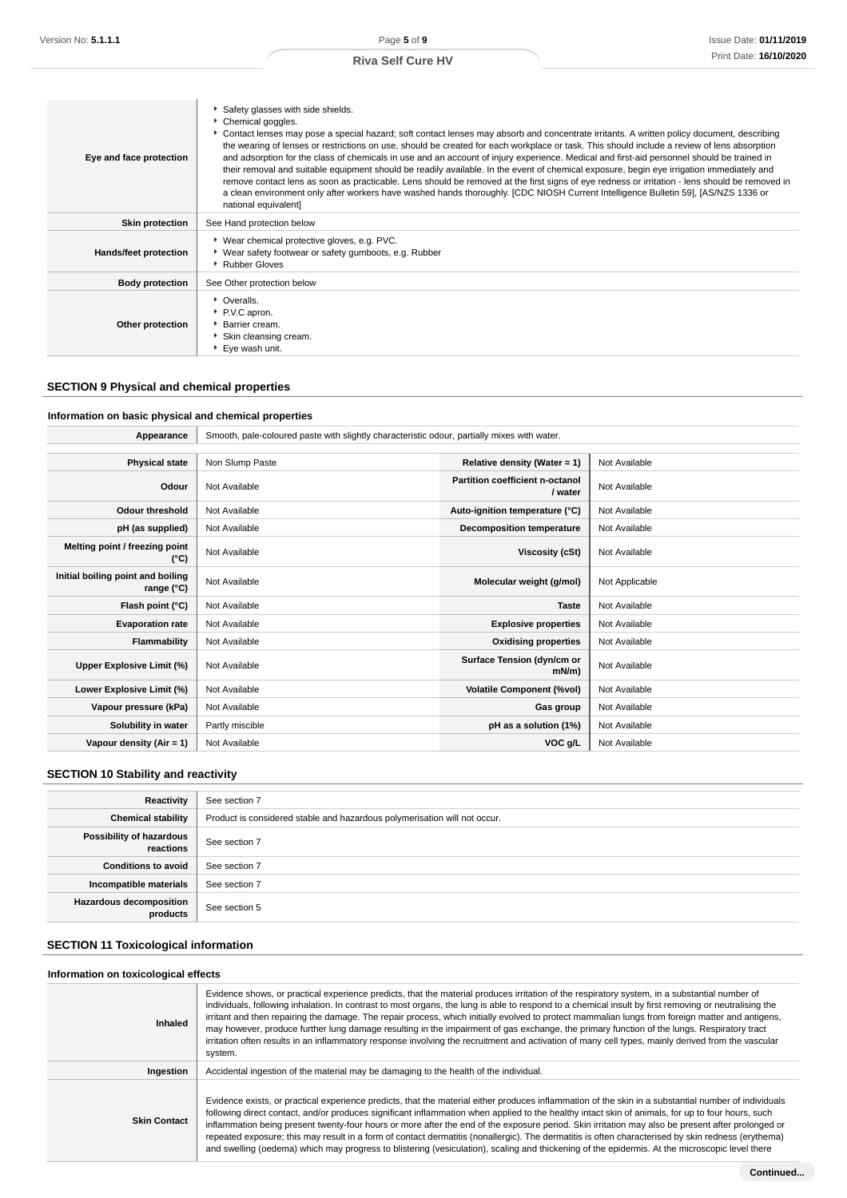| Eye and face protection      | Safety glasses with side shields.<br>Chemical goggles.<br>► Contact lenses may pose a special hazard; soft contact lenses may absorb and concentrate irritants. A written policy document, describing<br>the wearing of lenses or restrictions on use, should be created for each workplace or task. This should include a review of lens absorption<br>and adsorption for the class of chemicals in use and an account of injury experience. Medical and first-aid personnel should be trained in<br>their removal and suitable equipment should be readily available. In the event of chemical exposure, begin eye irrigation immediately and<br>remove contact lens as soon as practicable. Lens should be removed at the first signs of eye redness or irritation - lens should be removed in<br>a clean environment only after workers have washed hands thoroughly. [CDC NIOSH Current Intelligence Bulletin 59], [AS/NZS 1336 or<br>national equivalent] |
|------------------------------|-----------------------------------------------------------------------------------------------------------------------------------------------------------------------------------------------------------------------------------------------------------------------------------------------------------------------------------------------------------------------------------------------------------------------------------------------------------------------------------------------------------------------------------------------------------------------------------------------------------------------------------------------------------------------------------------------------------------------------------------------------------------------------------------------------------------------------------------------------------------------------------------------------------------------------------------------------------------|
| <b>Skin protection</b>       | See Hand protection below                                                                                                                                                                                                                                                                                                                                                                                                                                                                                                                                                                                                                                                                                                                                                                                                                                                                                                                                       |
| <b>Hands/feet protection</b> | ▶ Wear chemical protective gloves, e.g. PVC.<br>▶ Wear safety footwear or safety gumboots, e.g. Rubber<br>Rubber Gloves                                                                                                                                                                                                                                                                                                                                                                                                                                                                                                                                                                                                                                                                                                                                                                                                                                         |
| <b>Body protection</b>       | See Other protection below                                                                                                                                                                                                                                                                                                                                                                                                                                                                                                                                                                                                                                                                                                                                                                                                                                                                                                                                      |
| Other protection             | • Overalls.<br>P.V.C apron.<br>▶ Barrier cream.<br>Skin cleansing cream.<br>Eye wash unit.                                                                                                                                                                                                                                                                                                                                                                                                                                                                                                                                                                                                                                                                                                                                                                                                                                                                      |

# **SECTION 9 Physical and chemical properties**

### **Information on basic physical and chemical properties**

| Appearance                                      |                 | Smooth, pale-coloured paste with slightly characteristic odour, partially mixes with water. |                |  |  |  |
|-------------------------------------------------|-----------------|---------------------------------------------------------------------------------------------|----------------|--|--|--|
|                                                 |                 |                                                                                             |                |  |  |  |
| <b>Physical state</b>                           | Non Slump Paste | Relative density (Water = 1)                                                                | Not Available  |  |  |  |
| Odour                                           | Not Available   | Partition coefficient n-octanol<br>/ water                                                  | Not Available  |  |  |  |
| <b>Odour threshold</b>                          | Not Available   | Auto-ignition temperature (°C)                                                              | Not Available  |  |  |  |
| pH (as supplied)                                | Not Available   | <b>Decomposition temperature</b>                                                            | Not Available  |  |  |  |
| Melting point / freezing point<br>(°C)          | Not Available   | Viscosity (cSt)                                                                             | Not Available  |  |  |  |
| Initial boiling point and boiling<br>range (°C) | Not Available   | Molecular weight (g/mol)                                                                    | Not Applicable |  |  |  |
| Flash point (°C)                                | Not Available   | <b>Taste</b>                                                                                | Not Available  |  |  |  |
| <b>Evaporation rate</b>                         | Not Available   | <b>Explosive properties</b>                                                                 | Not Available  |  |  |  |
| <b>Flammability</b>                             | Not Available   | <b>Oxidising properties</b>                                                                 | Not Available  |  |  |  |
| Upper Explosive Limit (%)                       | Not Available   | Surface Tension (dyn/cm or<br>$mN/m$ )                                                      | Not Available  |  |  |  |
| Lower Explosive Limit (%)                       | Not Available   | <b>Volatile Component (%vol)</b>                                                            | Not Available  |  |  |  |
| Vapour pressure (kPa)                           | Not Available   | Gas group                                                                                   | Not Available  |  |  |  |
| Solubility in water                             | Partly miscible | pH as a solution (1%)                                                                       | Not Available  |  |  |  |
| Vapour density (Air = 1)                        | Not Available   | VOC g/L                                                                                     | Not Available  |  |  |  |

### **SECTION 10 Stability and reactivity**

| Reactivity                                 | See section 7                                                             |
|--------------------------------------------|---------------------------------------------------------------------------|
| <b>Chemical stability</b>                  | Product is considered stable and hazardous polymerisation will not occur. |
| Possibility of hazardous<br>reactions      | See section 7                                                             |
| <b>Conditions to avoid</b>                 | See section 7                                                             |
| Incompatible materials                     | See section 7                                                             |
| <b>Hazardous decomposition</b><br>products | See section 5                                                             |

## **SECTION 11 Toxicological information**

### **Information on toxicological effects**

| Inhaled             | Evidence shows, or practical experience predicts, that the material produces irritation of the respiratory system, in a substantial number of<br>individuals, following inhalation. In contrast to most organs, the lung is able to respond to a chemical insult by first removing or neutralising the<br>irritant and then repairing the damage. The repair process, which initially evolved to protect mammalian lungs from foreign matter and antigens,<br>may however, produce further lung damage resulting in the impairment of gas exchange, the primary function of the lungs. Respiratory tract<br>irritation often results in an inflammatory response involving the recruitment and activation of many cell types, mainly derived from the vascular<br>system. |
|---------------------|---------------------------------------------------------------------------------------------------------------------------------------------------------------------------------------------------------------------------------------------------------------------------------------------------------------------------------------------------------------------------------------------------------------------------------------------------------------------------------------------------------------------------------------------------------------------------------------------------------------------------------------------------------------------------------------------------------------------------------------------------------------------------|
| Ingestion           | Accidental ingestion of the material may be damaging to the health of the individual.                                                                                                                                                                                                                                                                                                                                                                                                                                                                                                                                                                                                                                                                                     |
| <b>Skin Contact</b> | Evidence exists, or practical experience predicts, that the material either produces inflammation of the skin in a substantial number of individuals<br>following direct contact, and/or produces significant inflammation when applied to the healthy intact skin of animals, for up to four hours, such<br>inflammation being present twenty-four hours or more after the end of the exposure period. Skin irritation may also be present after prolonged or<br>repeated exposure; this may result in a form of contact dermatitis (nonallergic). The dermatitis is often characterised by skin redness (erythema)<br>and swelling (oedema) which may progress to blistering (vesiculation), scaling and thickening of the epidermis. At the microscopic level there    |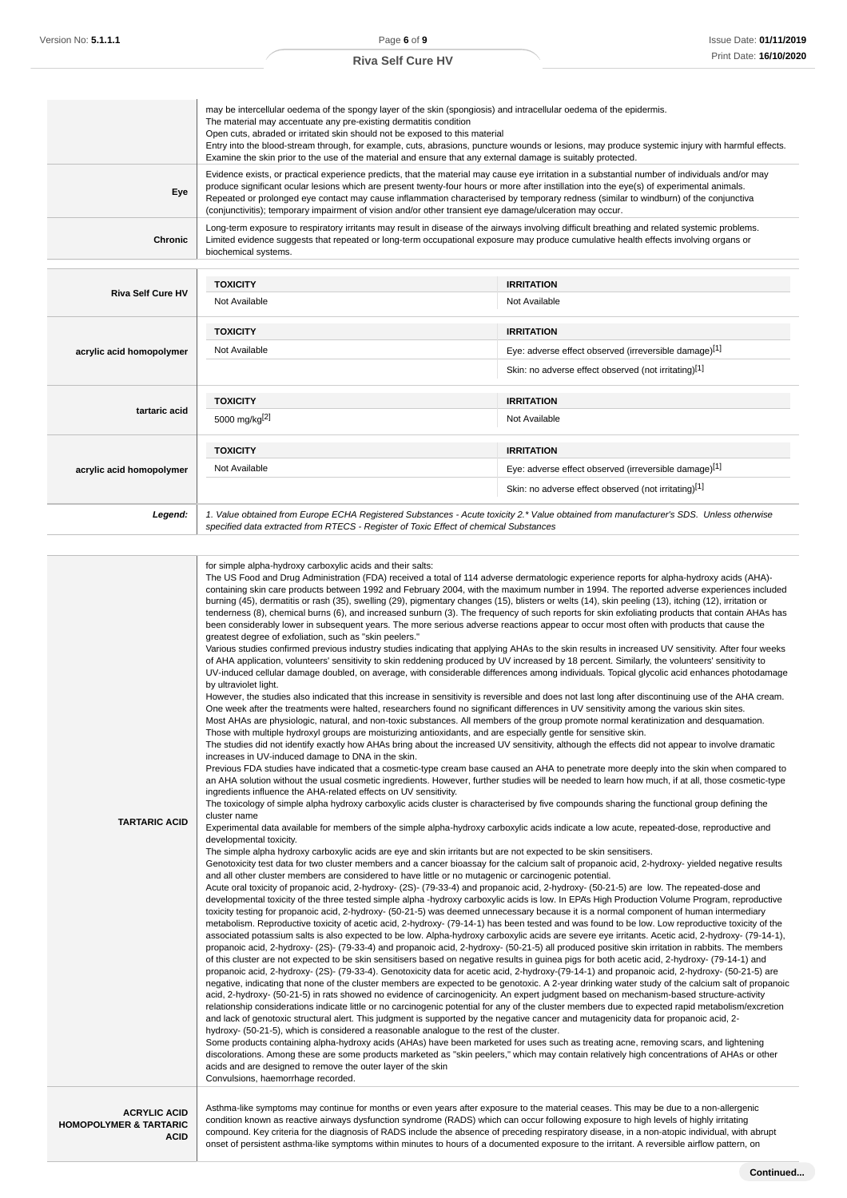|                          | may be intercellular oedema of the spongy layer of the skin (spongiosis) and intracellular oedema of the epidermis.<br>The material may accentuate any pre-existing dermatitis condition<br>Open cuts, abraded or irritated skin should not be exposed to this material<br>Entry into the blood-stream through, for example, cuts, abrasions, puncture wounds or lesions, may produce systemic injury with harmful effects.<br>Examine the skin prior to the use of the material and ensure that any external damage is suitably protected.       |                                                                                                                                                                                                                                                                                                                                                                                                                                                                                                                                                                                                   |  |
|--------------------------|---------------------------------------------------------------------------------------------------------------------------------------------------------------------------------------------------------------------------------------------------------------------------------------------------------------------------------------------------------------------------------------------------------------------------------------------------------------------------------------------------------------------------------------------------|---------------------------------------------------------------------------------------------------------------------------------------------------------------------------------------------------------------------------------------------------------------------------------------------------------------------------------------------------------------------------------------------------------------------------------------------------------------------------------------------------------------------------------------------------------------------------------------------------|--|
| Eye                      | Evidence exists, or practical experience predicts, that the material may cause eye irritation in a substantial number of individuals and/or may<br>produce significant ocular lesions which are present twenty-four hours or more after instillation into the eye(s) of experimental animals.<br>Repeated or prolonged eye contact may cause inflammation characterised by temporary redness (similar to windburn) of the conjunctiva<br>(conjunctivitis); temporary impairment of vision and/or other transient eye damage/ulceration may occur. |                                                                                                                                                                                                                                                                                                                                                                                                                                                                                                                                                                                                   |  |
| Chronic                  | biochemical systems.                                                                                                                                                                                                                                                                                                                                                                                                                                                                                                                              | Long-term exposure to respiratory irritants may result in disease of the airways involving difficult breathing and related systemic problems.<br>Limited evidence suggests that repeated or long-term occupational exposure may produce cumulative health effects involving organs or                                                                                                                                                                                                                                                                                                             |  |
|                          | <b>TOXICITY</b>                                                                                                                                                                                                                                                                                                                                                                                                                                                                                                                                   | <b>IRRITATION</b>                                                                                                                                                                                                                                                                                                                                                                                                                                                                                                                                                                                 |  |
| <b>Riva Self Cure HV</b> | Not Available                                                                                                                                                                                                                                                                                                                                                                                                                                                                                                                                     | Not Available                                                                                                                                                                                                                                                                                                                                                                                                                                                                                                                                                                                     |  |
|                          | <b>TOXICITY</b>                                                                                                                                                                                                                                                                                                                                                                                                                                                                                                                                   | <b>IRRITATION</b>                                                                                                                                                                                                                                                                                                                                                                                                                                                                                                                                                                                 |  |
| acrylic acid homopolymer | Not Available                                                                                                                                                                                                                                                                                                                                                                                                                                                                                                                                     | Eye: adverse effect observed (irreversible damage)[1]                                                                                                                                                                                                                                                                                                                                                                                                                                                                                                                                             |  |
|                          |                                                                                                                                                                                                                                                                                                                                                                                                                                                                                                                                                   | Skin: no adverse effect observed (not irritating)[1]                                                                                                                                                                                                                                                                                                                                                                                                                                                                                                                                              |  |
|                          | <b>TOXICITY</b>                                                                                                                                                                                                                                                                                                                                                                                                                                                                                                                                   | <b>IRRITATION</b>                                                                                                                                                                                                                                                                                                                                                                                                                                                                                                                                                                                 |  |
| tartaric acid            | 5000 mg/kg <sup>[2]</sup>                                                                                                                                                                                                                                                                                                                                                                                                                                                                                                                         | Not Available                                                                                                                                                                                                                                                                                                                                                                                                                                                                                                                                                                                     |  |
|                          | <b>TOXICITY</b>                                                                                                                                                                                                                                                                                                                                                                                                                                                                                                                                   | <b>IRRITATION</b>                                                                                                                                                                                                                                                                                                                                                                                                                                                                                                                                                                                 |  |
| acrylic acid homopolymer | Not Available                                                                                                                                                                                                                                                                                                                                                                                                                                                                                                                                     | Eye: adverse effect observed (irreversible damage)[1]                                                                                                                                                                                                                                                                                                                                                                                                                                                                                                                                             |  |
|                          |                                                                                                                                                                                                                                                                                                                                                                                                                                                                                                                                                   | Skin: no adverse effect observed (not irritating)[1]                                                                                                                                                                                                                                                                                                                                                                                                                                                                                                                                              |  |
| Legend:                  | specified data extracted from RTECS - Register of Toxic Effect of chemical Substances                                                                                                                                                                                                                                                                                                                                                                                                                                                             | 1. Value obtained from Europe ECHA Registered Substances - Acute toxicity 2.* Value obtained from manufacturer's SDS. Unless otherwise                                                                                                                                                                                                                                                                                                                                                                                                                                                            |  |
|                          | for simple alpha-hydroxy carboxylic acids and their salts:<br>been considerably lower in subsequent years. The more serious adverse reactions appear to occur most often with products that cause the                                                                                                                                                                                                                                                                                                                                             | The US Food and Drug Administration (FDA) received a total of 114 adverse dermatologic experience reports for alpha-hydroxy acids (AHA)-<br>containing skin care products between 1992 and February 2004, with the maximum number in 1994. The reported adverse experiences included<br>burning (45), dermatitis or rash (35), swelling (29), pigmentary changes (15), blisters or welts (14), skin peeling (13), itching (12), irritation or<br>tenderness (8), chemical burns (6), and increased sunburn (3). The frequency of such reports for skin exfoliating products that contain AHAs has |  |

greatest degree of exfoliation, such as "skin peelers." Various studies confirmed previous industry studies indicating that applying AHAs to the skin results in increased UV sensitivity. After four weeks of AHA application, volunteers' sensitivity to skin reddening produced by UV increased by 18 percent. Similarly, the volunteers' sensitivity to UV-induced cellular damage doubled, on average, with considerable differences among individuals. Topical glycolic acid enhances photodamage by ultraviolet light.

However, the studies also indicated that this increase in sensitivity is reversible and does not last long after discontinuing use of the AHA cream. One week after the treatments were halted, researchers found no significant differences in UV sensitivity among the various skin sites. Most AHAs are physiologic, natural, and non-toxic substances. All members of the group promote normal keratinization and desquamation.

Those with multiple hydroxyl groups are moisturizing antioxidants, and are especially gentle for sensitive skin. The studies did not identify exactly how AHAs bring about the increased UV sensitivity, although the effects did not appear to involve dramatic increases in UV-induced damage to DNA in the skin.

Previous FDA studies have indicated that a cosmetic-type cream base caused an AHA to penetrate more deeply into the skin when compared to an AHA solution without the usual cosmetic ingredients. However, further studies will be needed to learn how much, if at all, those cosmetic-type ingredients influence the AHA-related effects on UV sensitivity.

The toxicology of simple alpha hydroxy carboxylic acids cluster is characterised by five compounds sharing the functional group defining the cluster name

**TARTARIC ACID** Experimental data available for members of the simple alpha-hydroxy carboxylic acids indicate a low acute, repeated-dose, reproductive and developmental toxicity.

The simple alpha hydroxy carboxylic acids are eye and skin irritants but are not expected to be skin sensitisers.

Genotoxicity test data for two cluster members and a cancer bioassay for the calcium salt of propanoic acid, 2-hydroxy- yielded negative results and all other cluster members are considered to have little or no mutagenic or carcinogenic potential.

Acute oral toxicity of propanoic acid, 2-hydroxy- (2S)- (79-33-4) and propanoic acid, 2-hydroxy- (50-21-5) are low. The repeated-dose and developmental toxicity of the three tested simple alpha -hydroxy carboxylic acids is low. In EPA's High Production Volume Program, reproductive toxicity testing for propanoic acid, 2-hydroxy- (50-21-5) was deemed unnecessary because it is a normal component of human intermediary metabolism. Reproductive toxicity of acetic acid, 2-hydroxy- (79-14-1) has been tested and was found to be low. Low reproductive toxicity of the associated potassium salts is also expected to be low. Alpha-hydroxy carboxylic acids are severe eye irritants. Acetic acid, 2-hydroxy- (79-14-1), propanoic acid, 2-hydroxy- (2S)- (79-33-4) and propanoic acid, 2-hydroxy- (50-21-5) all produced positive skin irritation in rabbits. The members of this cluster are not expected to be skin sensitisers based on negative results in guinea pigs for both acetic acid, 2-hydroxy- (79-14-1) and propanoic acid, 2-hydroxy- (2S)- (79-33-4). Genotoxicity data for acetic acid, 2-hydroxy-(79-14-1) and propanoic acid, 2-hydroxy- (50-21-5) are negative, indicating that none of the cluster members are expected to be genotoxic. A 2-year drinking water study of the calcium salt of propanoic acid, 2-hydroxy- (50-21-5) in rats showed no evidence of carcinogenicity. An expert judgment based on mechanism-based structure-activity relationship considerations indicate little or no carcinogenic potential for any of the cluster members due to expected rapid metabolism/excretion and lack of genotoxic structural alert. This judgment is supported by the negative cancer and mutagenicity data for propanoic acid, 2 hydroxy- (50-21-5), which is considered a reasonable analogue to the rest of the cluster.

Some products containing alpha-hydroxy acids (AHAs) have been marketed for uses such as treating acne, removing scars, and lightening discolorations. Among these are some products marketed as "skin peelers," which may contain relatively high concentrations of AHAs or other acids and are designed to remove the outer layer of the skin Convulsions, haemorrhage recorded.

**ACRYLIC ACID HOMOPOLYMER & TARTARIC ACID** Asthma-like symptoms may continue for months or even years after exposure to the material ceases. This may be due to a non-allergenic condition known as reactive airways dysfunction syndrome (RADS) which can occur following exposure to high levels of highly irritating compound. Key criteria for the diagnosis of RADS include the absence of preceding respiratory disease, in a non-atopic individual, with abrupt onset of persistent asthma-like symptoms within minutes to hours of a documented exposure to the irritant. A reversible airflow pattern, on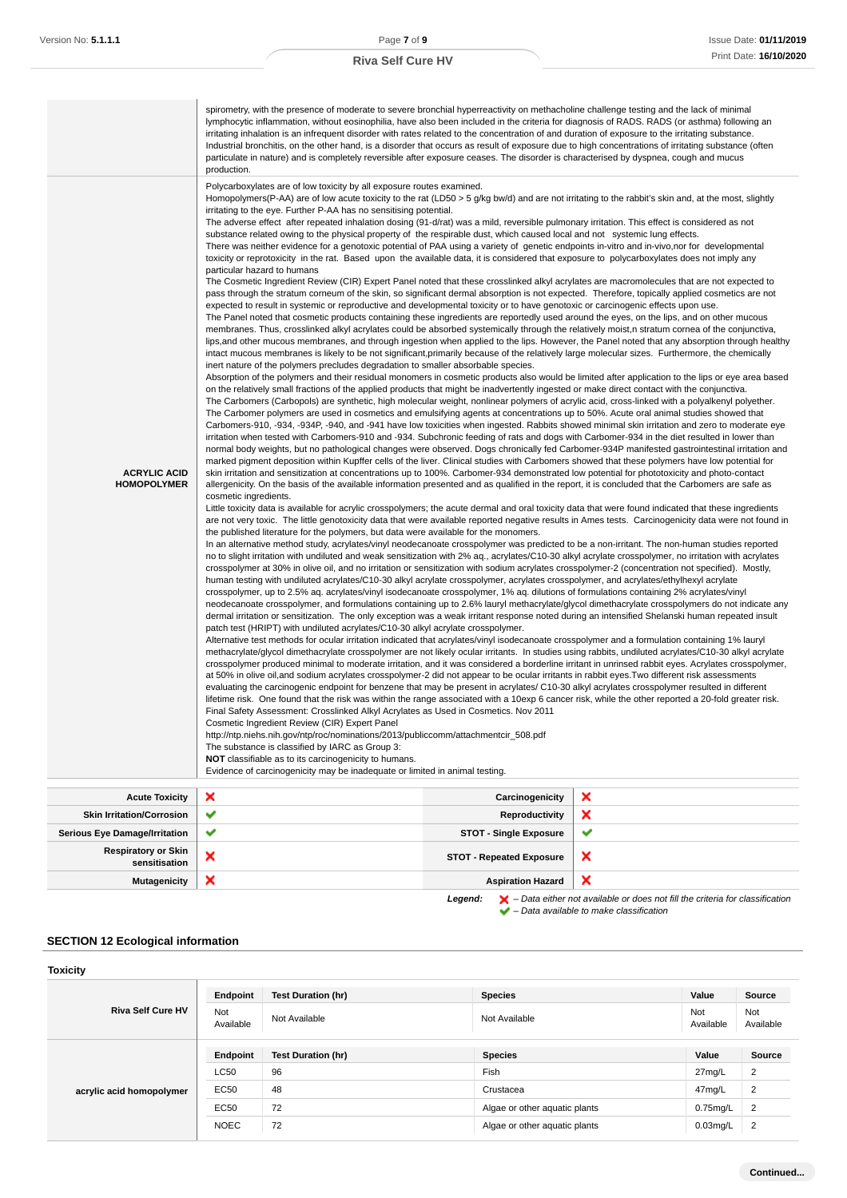|                                             | spirometry, with the presence of moderate to severe bronchial hyperreactivity on methacholine challenge testing and the lack of minimal<br>lymphocytic inflammation, without eosinophilia, have also been included in the criteria for diagnosis of RADS. RADS (or asthma) following an<br>irritating inhalation is an infrequent disorder with rates related to the concentration of and duration of exposure to the irritating substance.<br>Industrial bronchitis, on the other hand, is a disorder that occurs as result of exposure due to high concentrations of irritating substance (often<br>particulate in nature) and is completely reversible after exposure ceases. The disorder is characterised by dyspnea, cough and mucus<br>production.                                                                                                                                                                                                                                                                                                                                                                                                                                                                                                                                                                                                                                                                                                                                                                                                                                                                                                                                                                                                                                                                                                                                                                                                                                                                                                                                                                                                                                                                                                                                                                                                                                                                                                                                                                                                                                                                                                                                                                                                                                                                                                                                                                                                                                                                                                                                                                                                                                                                                                                                                                                                                                                                                                                                                                                                                                                                                                                                                                                                                                                                                                                                                                                                                                                                                                                                                                                                                                                                                                                                                                                                                                                                                                                                                                                                                                                                                                                                                                                                                                                                                                                                                                                                                                                                                                                                                                                                                                                                                                                                                                                                                                                                                                                                                                                                                                                                                                                                                                                                                                                                                                |                                 |                                                                                                                                                                                                                                                                                                                                                                                                                                                                                                                                                                                                              |
|---------------------------------------------|----------------------------------------------------------------------------------------------------------------------------------------------------------------------------------------------------------------------------------------------------------------------------------------------------------------------------------------------------------------------------------------------------------------------------------------------------------------------------------------------------------------------------------------------------------------------------------------------------------------------------------------------------------------------------------------------------------------------------------------------------------------------------------------------------------------------------------------------------------------------------------------------------------------------------------------------------------------------------------------------------------------------------------------------------------------------------------------------------------------------------------------------------------------------------------------------------------------------------------------------------------------------------------------------------------------------------------------------------------------------------------------------------------------------------------------------------------------------------------------------------------------------------------------------------------------------------------------------------------------------------------------------------------------------------------------------------------------------------------------------------------------------------------------------------------------------------------------------------------------------------------------------------------------------------------------------------------------------------------------------------------------------------------------------------------------------------------------------------------------------------------------------------------------------------------------------------------------------------------------------------------------------------------------------------------------------------------------------------------------------------------------------------------------------------------------------------------------------------------------------------------------------------------------------------------------------------------------------------------------------------------------------------------------------------------------------------------------------------------------------------------------------------------------------------------------------------------------------------------------------------------------------------------------------------------------------------------------------------------------------------------------------------------------------------------------------------------------------------------------------------------------------------------------------------------------------------------------------------------------------------------------------------------------------------------------------------------------------------------------------------------------------------------------------------------------------------------------------------------------------------------------------------------------------------------------------------------------------------------------------------------------------------------------------------------------------------------------------------------------------------------------------------------------------------------------------------------------------------------------------------------------------------------------------------------------------------------------------------------------------------------------------------------------------------------------------------------------------------------------------------------------------------------------------------------------------------------------------------------------------------------------------------------------------------------------------------------------------------------------------------------------------------------------------------------------------------------------------------------------------------------------------------------------------------------------------------------------------------------------------------------------------------------------------------------------------------------------------------------------------------------------------------------------------------------------------------------------------------------------------------------------------------------------------------------------------------------------------------------------------------------------------------------------------------------------------------------------------------------------------------------------------------------------------------------------------------------------------------------------------------------------------------------------------------------------------------------------------------------------------------------------------------------------------------------------------------------------------------------------------------------------------------------------------------------------------------------------------------------------------------------------------------------------------------------------------------------------------------------------------------------------------------------------------------------------------------------------------------------|---------------------------------|--------------------------------------------------------------------------------------------------------------------------------------------------------------------------------------------------------------------------------------------------------------------------------------------------------------------------------------------------------------------------------------------------------------------------------------------------------------------------------------------------------------------------------------------------------------------------------------------------------------|
| <b>ACRYLIC ACID</b><br><b>HOMOPOLYMER</b>   | Polycarboxylates are of low toxicity by all exposure routes examined.<br>Homopolymers(P-AA) are of low acute toxicity to the rat (LD50 > 5 g/kg bw/d) and are not irritating to the rabbit's skin and, at the most, slightly<br>irritating to the eye. Further P-AA has no sensitising potential.<br>The adverse effect after repeated inhalation dosing (91-d/rat) was a mild, reversible pulmonary irritation. This effect is considered as not<br>substance related owing to the physical property of the respirable dust, which caused local and not systemic lung effects.<br>There was neither evidence for a genotoxic potential of PAA using a variety of genetic endpoints in-vitro and in-vivo, nor for developmental<br>toxicity or reprotoxicity in the rat. Based upon the available data, it is considered that exposure to polycarboxylates does not imply any<br>particular hazard to humans<br>The Cosmetic Ingredient Review (CIR) Expert Panel noted that these crosslinked alkyl acrylates are macromolecules that are not expected to<br>pass through the stratum corneum of the skin, so significant dermal absorption is not expected. Therefore, topically applied cosmetics are not<br>expected to result in systemic or reproductive and developmental toxicity or to have genotoxic or carcinogenic effects upon use.<br>The Panel noted that cosmetic products containing these ingredients are reportedly used around the eyes, on the lips, and on other mucous<br>membranes. Thus, crosslinked alkyl acrylates could be absorbed systemically through the relatively moist, n stratum cornea of the conjunctiva,<br>intact mucous membranes is likely to be not significant, primarily because of the relatively large molecular sizes. Furthermore, the chemically<br>inert nature of the polymers precludes degradation to smaller absorbable species.<br>on the relatively small fractions of the applied products that might be inadvertently ingested or make direct contact with the conjunctiva.<br>The Carbomers (Carbopols) are synthetic, high molecular weight, nonlinear polymers of acrylic acid, cross-linked with a polyalkenyl polyether.<br>The Carbomer polymers are used in cosmetics and emulsifying agents at concentrations up to 50%. Acute oral animal studies showed that<br>Carbomers-910, -934, -934P, -940, and -941 have low toxicities when ingested. Rabbits showed minimal skin irritation and zero to moderate eye<br>irritation when tested with Carbomers-910 and -934. Subchronic feeding of rats and dogs with Carbomer-934 in the diet resulted in lower than<br>normal body weights, but no pathological changes were observed. Dogs chronically fed Carbomer-934P manifested gastrointestinal irritation and<br>marked pigment deposition within Kupffer cells of the liver. Clinical studies with Carbomers showed that these polymers have low potential for<br>skin irritation and sensitization at concentrations up to 100%. Carbomer-934 demonstrated low potential for phototoxicity and photo-contact<br>allergenicity. On the basis of the available information presented and as qualified in the report, it is concluded that the Carbomers are safe as<br>cosmetic ingredients.<br>Little toxicity data is available for acrylic crosspolymers; the acute dermal and oral toxicity data that were found indicated that these ingredients<br>the published literature for the polymers, but data were available for the monomers.<br>In an alternative method study, acrylates/vinyl neodecanoate crosspolymer was predicted to be a non-irritant. The non-human studies reported<br>no to slight irritation with undiluted and weak sensitization with 2% aq., acrylates/C10-30 alkyl acrylate crosspolymer, no irritation with acrylates<br>crosspolymer at 30% in olive oil, and no irritation or sensitization with sodium acrylates crosspolymer-2 (concentration not specified). Mostly,<br>human testing with undiluted acrylates/C10-30 alkyl acrylate crosspolymer, acrylates crosspolymer, and acrylates/ethylhexyl acrylate<br>crosspolymer, up to 2.5% aq. acrylates/vinyl isodecanoate crosspolymer, 1% aq. dilutions of formulations containing 2% acrylates/vinyl<br>dermal irritation or sensitization. The only exception was a weak irritant response noted during an intensified Shelanski human repeated insult<br>patch test (HRIPT) with undiluted acrylates/C10-30 alkyl acrylate crosspolymer.<br>Alternative test methods for ocular irritation indicated that acrylates/vinyl isodecanoate crosspolymer and a formulation containing 1% lauryl<br>methacrylate/glycol dimethacrylate crosspolymer are not likely ocular irritants. In studies using rabbits, undiluted acrylates/C10-30 alkyl acrylate<br>crosspolymer produced minimal to moderate irritation, and it was considered a borderline irritant in unrinsed rabbit eyes. Acrylates crosspolymer,<br>at 50% in olive oil, and sodium acrylates crosspolymer-2 did not appear to be ocular irritants in rabbit eyes. Two different risk assessments<br>evaluating the carcinogenic endpoint for benzene that may be present in acrylates/C10-30 alkyl acrylates crosspolymer resulted in different<br>lifetime risk. One found that the risk was within the range associated with a 10exp 6 cancer risk, while the other reported a 20-fold greater risk.<br>Final Safety Assessment: Crosslinked Alkyl Acrylates as Used in Cosmetics. Nov 2011<br>Cosmetic Ingredient Review (CIR) Expert Panel<br>http://ntp.niehs.nih.gov/ntp/roc/nominations/2013/publiccomm/attachmentcir_508.pdf<br>The substance is classified by IARC as Group 3:<br>NOT classifiable as to its carcinogenicity to humans.<br>Evidence of carcinogenicity may be inadequate or limited in animal testing. |                                 | lips, and other mucous membranes, and through ingestion when applied to the lips. However, the Panel noted that any absorption through healthy<br>Absorption of the polymers and their residual monomers in cosmetic products also would be limited after application to the lips or eye area based<br>are not very toxic. The little genotoxicity data that were available reported negative results in Ames tests. Carcinogenicity data were not found in<br>neodecanoate crosspolymer, and formulations containing up to 2.6% lauryl methacrylate/glycol dimethacrylate crosspolymers do not indicate any |
| <b>Acute Toxicity</b>                       | ×                                                                                                                                                                                                                                                                                                                                                                                                                                                                                                                                                                                                                                                                                                                                                                                                                                                                                                                                                                                                                                                                                                                                                                                                                                                                                                                                                                                                                                                                                                                                                                                                                                                                                                                                                                                                                                                                                                                                                                                                                                                                                                                                                                                                                                                                                                                                                                                                                                                                                                                                                                                                                                                                                                                                                                                                                                                                                                                                                                                                                                                                                                                                                                                                                                                                                                                                                                                                                                                                                                                                                                                                                                                                                                                                                                                                                                                                                                                                                                                                                                                                                                                                                                                                                                                                                                                                                                                                                                                                                                                                                                                                                                                                                                                                                                                                                                                                                                                                                                                                                                                                                                                                                                                                                                                                                                                                                                                                                                                                                                                                                                                                                                                                                                                                                                                                                                                        | Carcinogenicity                 | ×                                                                                                                                                                                                                                                                                                                                                                                                                                                                                                                                                                                                            |
| <b>Skin Irritation/Corrosion</b>            | ✔                                                                                                                                                                                                                                                                                                                                                                                                                                                                                                                                                                                                                                                                                                                                                                                                                                                                                                                                                                                                                                                                                                                                                                                                                                                                                                                                                                                                                                                                                                                                                                                                                                                                                                                                                                                                                                                                                                                                                                                                                                                                                                                                                                                                                                                                                                                                                                                                                                                                                                                                                                                                                                                                                                                                                                                                                                                                                                                                                                                                                                                                                                                                                                                                                                                                                                                                                                                                                                                                                                                                                                                                                                                                                                                                                                                                                                                                                                                                                                                                                                                                                                                                                                                                                                                                                                                                                                                                                                                                                                                                                                                                                                                                                                                                                                                                                                                                                                                                                                                                                                                                                                                                                                                                                                                                                                                                                                                                                                                                                                                                                                                                                                                                                                                                                                                                                                                        | Reproductivity                  | ×                                                                                                                                                                                                                                                                                                                                                                                                                                                                                                                                                                                                            |
| <b>Serious Eye Damage/Irritation</b>        | ✔                                                                                                                                                                                                                                                                                                                                                                                                                                                                                                                                                                                                                                                                                                                                                                                                                                                                                                                                                                                                                                                                                                                                                                                                                                                                                                                                                                                                                                                                                                                                                                                                                                                                                                                                                                                                                                                                                                                                                                                                                                                                                                                                                                                                                                                                                                                                                                                                                                                                                                                                                                                                                                                                                                                                                                                                                                                                                                                                                                                                                                                                                                                                                                                                                                                                                                                                                                                                                                                                                                                                                                                                                                                                                                                                                                                                                                                                                                                                                                                                                                                                                                                                                                                                                                                                                                                                                                                                                                                                                                                                                                                                                                                                                                                                                                                                                                                                                                                                                                                                                                                                                                                                                                                                                                                                                                                                                                                                                                                                                                                                                                                                                                                                                                                                                                                                                                                        | <b>STOT - Single Exposure</b>   | ✔                                                                                                                                                                                                                                                                                                                                                                                                                                                                                                                                                                                                            |
| <b>Respiratory or Skin</b><br>sensitisation | ×                                                                                                                                                                                                                                                                                                                                                                                                                                                                                                                                                                                                                                                                                                                                                                                                                                                                                                                                                                                                                                                                                                                                                                                                                                                                                                                                                                                                                                                                                                                                                                                                                                                                                                                                                                                                                                                                                                                                                                                                                                                                                                                                                                                                                                                                                                                                                                                                                                                                                                                                                                                                                                                                                                                                                                                                                                                                                                                                                                                                                                                                                                                                                                                                                                                                                                                                                                                                                                                                                                                                                                                                                                                                                                                                                                                                                                                                                                                                                                                                                                                                                                                                                                                                                                                                                                                                                                                                                                                                                                                                                                                                                                                                                                                                                                                                                                                                                                                                                                                                                                                                                                                                                                                                                                                                                                                                                                                                                                                                                                                                                                                                                                                                                                                                                                                                                                                        | <b>STOT - Repeated Exposure</b> | ×                                                                                                                                                                                                                                                                                                                                                                                                                                                                                                                                                                                                            |
| <b>Mutagenicity</b>                         | ×                                                                                                                                                                                                                                                                                                                                                                                                                                                                                                                                                                                                                                                                                                                                                                                                                                                                                                                                                                                                                                                                                                                                                                                                                                                                                                                                                                                                                                                                                                                                                                                                                                                                                                                                                                                                                                                                                                                                                                                                                                                                                                                                                                                                                                                                                                                                                                                                                                                                                                                                                                                                                                                                                                                                                                                                                                                                                                                                                                                                                                                                                                                                                                                                                                                                                                                                                                                                                                                                                                                                                                                                                                                                                                                                                                                                                                                                                                                                                                                                                                                                                                                                                                                                                                                                                                                                                                                                                                                                                                                                                                                                                                                                                                                                                                                                                                                                                                                                                                                                                                                                                                                                                                                                                                                                                                                                                                                                                                                                                                                                                                                                                                                                                                                                                                                                                                                        | <b>Aspiration Hazard</b>        | ×                                                                                                                                                                                                                                                                                                                                                                                                                                                                                                                                                                                                            |

**Legend:**  $\mathbf{X}$  – Data either not available or does not fill the criteria for classification – Data available to make classification

### **SECTION 12 Ecological information**

| <b>Toxicity</b>          |                  |                           |                               |                  |                  |
|--------------------------|------------------|---------------------------|-------------------------------|------------------|------------------|
|                          | Endpoint         | <b>Test Duration (hr)</b> | <b>Species</b>                | Value            | Source           |
| <b>Riva Self Cure HV</b> | Not<br>Available | Not Available             | Not Available                 | Not<br>Available | Not<br>Available |
| acrylic acid homopolymer | Endpoint         | <b>Test Duration (hr)</b> | <b>Species</b>                | Value            | Source           |
|                          | <b>LC50</b>      | 96                        | Fish                          | 27mg/L           | 2                |
|                          | EC50             | 48                        | Crustacea                     | 47mg/L           | 2                |
|                          | EC50             | 72                        | Algae or other aquatic plants | $0.75$ mg/L      | 2                |
|                          | <b>NOEC</b>      | 72                        | Algae or other aquatic plants | $0.03$ mg/L      | $\overline{2}$   |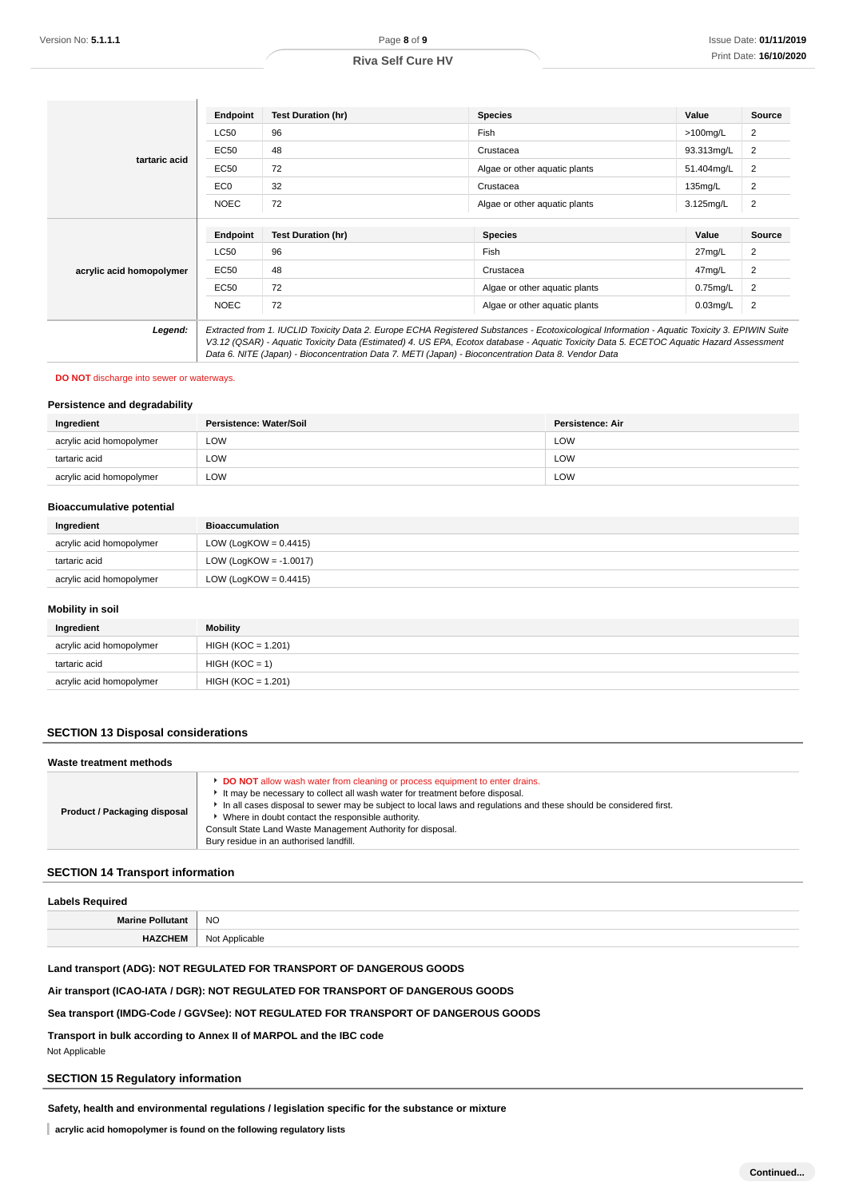|                          | <b>Endpoint</b> | <b>Test Duration (hr)</b> | <b>Species</b>                | Value       | Source         |
|--------------------------|-----------------|---------------------------|-------------------------------|-------------|----------------|
| tartaric acid            | <b>LC50</b>     | 96                        | Fish                          | $>100$ mg/L | 2              |
|                          | EC50            | 48                        | Crustacea                     | 93.313mg/L  | 2              |
|                          | <b>EC50</b>     | 72                        | Algae or other aquatic plants | 51.404mg/L  | 2              |
|                          | EC <sub>0</sub> | 32                        | Crustacea                     | $135$ mg/L  | $\overline{2}$ |
|                          | <b>NOEC</b>     | 72                        | Algae or other aquatic plants | 3.125mg/L   | 2              |
|                          | <b>Endpoint</b> | <b>Test Duration (hr)</b> | <b>Species</b>                | Value       | Source         |
|                          |                 |                           |                               |             |                |
|                          | <b>LC50</b>     | 96                        | Fish                          | 27mg/L      | 2              |
| acrylic acid homopolymer |                 |                           |                               |             |                |
|                          | EC50            | 48                        | Crustacea                     | 47mg/L      | 2              |
|                          | EC50            | 72                        | Algae or other aquatic plants | $0.75$ mg/L | 2              |
|                          | <b>NOEC</b>     | 72                        | Algae or other aquatic plants | $0.03$ mg/L | $\overline{2}$ |

#### **DO NOT** discharge into sewer or waterways.

### **Persistence and degradability**

| Ingredient               | Persistence: Water/Soil | Persistence: Air |
|--------------------------|-------------------------|------------------|
| acrylic acid homopolymer | LOW                     | LOW              |
| tartaric acid            | LOW                     | LOW              |
| acrylic acid homopolymer | LOW                     | LOW              |

### **Bioaccumulative potential**

| Ingredient               | <b>Bioaccumulation</b>    |
|--------------------------|---------------------------|
| acrylic acid homopolymer | LOW (LogKOW = $0.4415$ )  |
| tartaric acid            | LOW (LogKOW = $-1.0017$ ) |
| acrylic acid homopolymer | LOW (LogKOW = $0.4415$ )  |

### **Mobility in soil**

| Ingredient               | <b>Mobility</b>      |
|--------------------------|----------------------|
| acrylic acid homopolymer | $HIGH (KOC = 1.201)$ |
| tartaric acid            | $HIGH (KOC = 1)$     |
| acrylic acid homopolymer | $HIGH (KOC = 1.201)$ |

### **SECTION 13 Disposal considerations**

| Waste treatment methods             |                                                                                                                                                                                                                                                                                                                                                                                                                                                   |
|-------------------------------------|---------------------------------------------------------------------------------------------------------------------------------------------------------------------------------------------------------------------------------------------------------------------------------------------------------------------------------------------------------------------------------------------------------------------------------------------------|
| <b>Product / Packaging disposal</b> | DO NOT allow wash water from cleaning or process equipment to enter drains.<br>It may be necessary to collect all wash water for treatment before disposal.<br>In all cases disposal to sewer may be subject to local laws and regulations and these should be considered first.<br>▶ Where in doubt contact the responsible authority.<br>Consult State Land Waste Management Authority for disposal.<br>Bury residue in an authorised landfill. |

### **SECTION 14 Transport information**

#### **Labels Required**

| M <sub>o</sub> | <b>NO</b>                  |
|----------------|----------------------------|
| . .            | Not<br>licable<br>$n_{nn}$ |

### **Land transport (ADG): NOT REGULATED FOR TRANSPORT OF DANGEROUS GOODS**

### **Air transport (ICAO-IATA / DGR): NOT REGULATED FOR TRANSPORT OF DANGEROUS GOODS**

### **Sea transport (IMDG-Code / GGVSee): NOT REGULATED FOR TRANSPORT OF DANGEROUS GOODS**

**Transport in bulk according to Annex II of MARPOL and the IBC code** Not Applicable

### **SECTION 15 Regulatory information**

### **Safety, health and environmental regulations / legislation specific for the substance or mixture**

**acrylic acid homopolymer is found on the following regulatory lists**